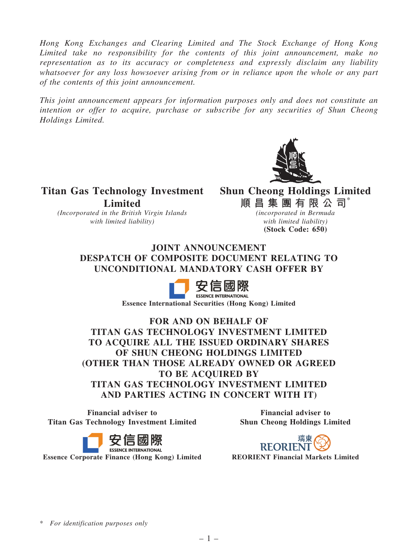Hong Kong Exchanges and Clearing Limited and The Stock Exchange of Hong Kong Limited take no responsibility for the contents of this joint announcement, make no representation as to its accuracy or completeness and expressly disclaim any liability whatsoever for any loss howsoever arising from or in reliance upon the whole or any part of the contents of this joint announcement.

This joint announcement appears for information purposes only and does not constitute an intention or offer to acquire, purchase or subscribe for any securities of Shun Cheong Holdings Limited.



Titan Gas Technology Investment Shun Cheong Holdings Limited **Limited** 

(Incorporated in the British Virgin Islands with limited liability)

順 昌 集 團 有 限 公 司 $^*$ 

(incorporated in Bermuda with limited liability) (Stock Code: 650)

JOINT ANNOUNCEMENT DESPATCH OF COMPOSITE DOCUMENT RELATING TO UNCONDITIONAL MANDATORY CASH OFFER BY



Essence International Securities (Hong Kong) Limited

FOR AND ON BEHALF OF TITAN GAS TECHNOLOGY INVESTMENT LIMITED TO ACQUIRE ALL THE ISSUED ORDINARY SHARES OF SHUN CHEONG HOLDINGS LIMITED (OTHER THAN THOSE ALREADY OWNED OR AGREED TO BE ACQUIRED BY TITAN GAS TECHNOLOGY INVESTMENT LIMITED AND PARTIES ACTING IN CONCERT WITH IT)

Financial adviser to Titan Gas Technology Investment Limited

Financial adviser to Shun Cheong Holdings Limited



瑞東 **REORIENT** 

\* For identification purposes only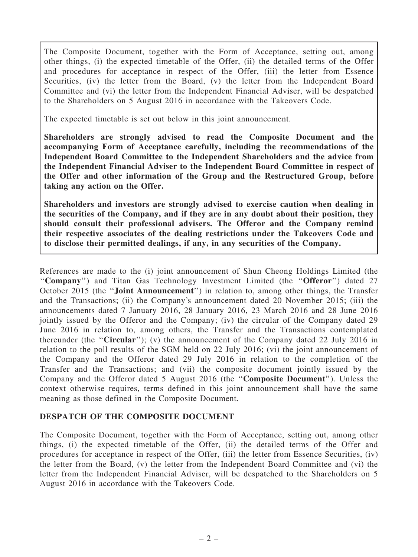The Composite Document, together with the Form of Acceptance, setting out, among other things, (i) the expected timetable of the Offer, (ii) the detailed terms of the Offer and procedures for acceptance in respect of the Offer, (iii) the letter from Essence Securities, (iv) the letter from the Board, (v) the letter from the Independent Board Committee and (vi) the letter from the Independent Financial Adviser, will be despatched to the Shareholders on 5 August 2016 in accordance with the Takeovers Code.

The expected timetable is set out below in this joint announcement.

Shareholders are strongly advised to read the Composite Document and the accompanying Form of Acceptance carefully, including the recommendations of the Independent Board Committee to the Independent Shareholders and the advice from the Independent Financial Adviser to the Independent Board Committee in respect of the Offer and other information of the Group and the Restructured Group, before taking any action on the Offer.

Shareholders and investors are strongly advised to exercise caution when dealing in the securities of the Company, and if they are in any doubt about their position, they should consult their professional advisers. The Offeror and the Company remind their respective associates of the dealing restrictions under the Takeovers Code and to disclose their permitted dealings, if any, in any securities of the Company.

References are made to the (i) joint announcement of Shun Cheong Holdings Limited (the "Company") and Titan Gas Technology Investment Limited (the "Offeror") dated 27 October 2015 (the ''Joint Announcement'') in relation to, among other things, the Transfer and the Transactions; (ii) the Company's announcement dated 20 November 2015; (iii) the announcements dated 7 January 2016, 28 January 2016, 23 March 2016 and 28 June 2016 jointly issued by the Offeror and the Company; (iv) the circular of the Company dated 29 June 2016 in relation to, among others, the Transfer and the Transactions contemplated thereunder (the "Circular"); (v) the announcement of the Company dated 22 July 2016 in relation to the poll results of the SGM held on 22 July 2016; (vi) the joint announcement of the Company and the Offeror dated 29 July 2016 in relation to the completion of the Transfer and the Transactions; and (vii) the composite document jointly issued by the Company and the Offeror dated 5 August 2016 (the ''Composite Document''). Unless the context otherwise requires, terms defined in this joint announcement shall have the same meaning as those defined in the Composite Document.

## DESPATCH OF THE COMPOSITE DOCUMENT

The Composite Document, together with the Form of Acceptance, setting out, among other things, (i) the expected timetable of the Offer, (ii) the detailed terms of the Offer and procedures for acceptance in respect of the Offer, (iii) the letter from Essence Securities, (iv) the letter from the Board, (v) the letter from the Independent Board Committee and (vi) the letter from the Independent Financial Adviser, will be despatched to the Shareholders on 5 August 2016 in accordance with the Takeovers Code.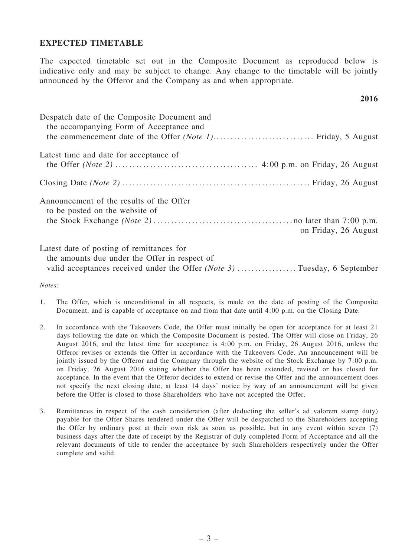## EXPECTED TIMETABLE

The expected timetable set out in the Composite Document as reproduced below is indicative only and may be subject to change. Any change to the timetable will be jointly announced by the Offeror and the Company as and when appropriate.

## 2016

| Despatch date of the Composite Document and<br>the accompanying Form of Acceptance and |                      |
|----------------------------------------------------------------------------------------|----------------------|
| Latest time and date for acceptance of                                                 |                      |
|                                                                                        |                      |
| Announcement of the results of the Offer<br>to be posted on the website of             | on Friday, 26 August |
| Latest date of posting of remittances for                                              |                      |

the amounts due under the Offer in respect of valid acceptances received under the Offer (Note 3) ..................Tuesday, 6 September

Notes:

- 1. The Offer, which is unconditional in all respects, is made on the date of posting of the Composite Document, and is capable of acceptance on and from that date until 4:00 p.m. on the Closing Date.
- 2. In accordance with the Takeovers Code, the Offer must initially be open for acceptance for at least 21 days following the date on which the Composite Document is posted. The Offer will close on Friday, 26 August 2016, and the latest time for acceptance is 4:00 p.m. on Friday, 26 August 2016, unless the Offeror revises or extends the Offer in accordance with the Takeovers Code. An announcement will be jointly issued by the Offeror and the Company through the website of the Stock Exchange by 7:00 p.m. on Friday, 26 August 2016 stating whether the Offer has been extended, revised or has closed for acceptance. In the event that the Offeror decides to extend or revise the Offer and the announcement does not specify the next closing date, at least 14 days' notice by way of an announcement will be given before the Offer is closed to those Shareholders who have not accepted the Offer.
- 3. Remittances in respect of the cash consideration (after deducting the seller's ad valorem stamp duty) payable for the Offer Shares tendered under the Offer will be despatched to the Shareholders accepting the Offer by ordinary post at their own risk as soon as possible, but in any event within seven (7) business days after the date of receipt by the Registrar of duly completed Form of Acceptance and all the relevant documents of title to render the acceptance by such Shareholders respectively under the Offer complete and valid.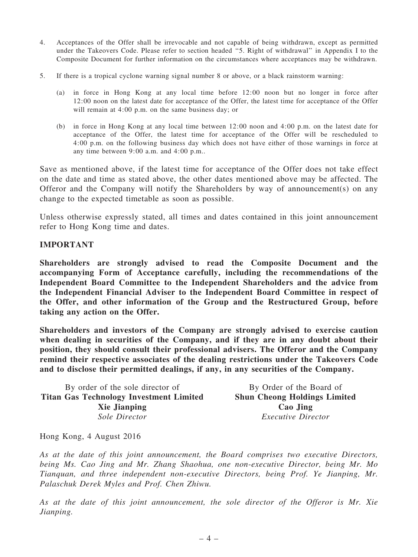- 4. Acceptances of the Offer shall be irrevocable and not capable of being withdrawn, except as permitted under the Takeovers Code. Please refer to section headed ''5. Right of withdrawal'' in Appendix I to the Composite Document for further information on the circumstances where acceptances may be withdrawn.
- 5. If there is a tropical cyclone warning signal number 8 or above, or a black rainstorm warning:
	- (a) in force in Hong Kong at any local time before 12:00 noon but no longer in force after 12:00 noon on the latest date for acceptance of the Offer, the latest time for acceptance of the Offer will remain at 4:00 p.m. on the same business day; or
	- (b) in force in Hong Kong at any local time between 12:00 noon and 4:00 p.m. on the latest date for acceptance of the Offer, the latest time for acceptance of the Offer will be rescheduled to 4:00 p.m. on the following business day which does not have either of those warnings in force at any time between 9:00 a.m. and 4:00 p.m..

Save as mentioned above, if the latest time for acceptance of the Offer does not take effect on the date and time as stated above, the other dates mentioned above may be affected. The Offeror and the Company will notify the Shareholders by way of announcement(s) on any change to the expected timetable as soon as possible.

Unless otherwise expressly stated, all times and dates contained in this joint announcement refer to Hong Kong time and dates.

## IMPORTANT

Shareholders are strongly advised to read the Composite Document and the accompanying Form of Acceptance carefully, including the recommendations of the Independent Board Committee to the Independent Shareholders and the advice from the Independent Financial Adviser to the Independent Board Committee in respect of the Offer, and other information of the Group and the Restructured Group, before taking any action on the Offer.

Shareholders and investors of the Company are strongly advised to exercise caution when dealing in securities of the Company, and if they are in any doubt about their position, they should consult their professional advisers. The Offeror and the Company remind their respective associates of the dealing restrictions under the Takeovers Code and to disclose their permitted dealings, if any, in any securities of the Company.

| By order of the sole director of               | By Order of the Board of            |
|------------------------------------------------|-------------------------------------|
| <b>Titan Gas Technology Investment Limited</b> | <b>Shun Cheong Holdings Limited</b> |
| <b>Xie Jianping</b>                            | Cao Jing                            |
| Sole Director                                  | <i>Executive Director</i>           |

Hong Kong, 4 August 2016

As at the date of this joint announcement, the Board comprises two executive Directors, being Ms. Cao Jing and Mr. Zhang Shaohua, one non-executive Director, being Mr. Mo Tianquan, and three independent non-executive Directors, being Prof. Ye Jianping, Mr. Palaschuk Derek Myles and Prof. Chen Zhiwu.

As at the date of this joint announcement, the sole director of the Offeror is Mr. Xie Jianping.